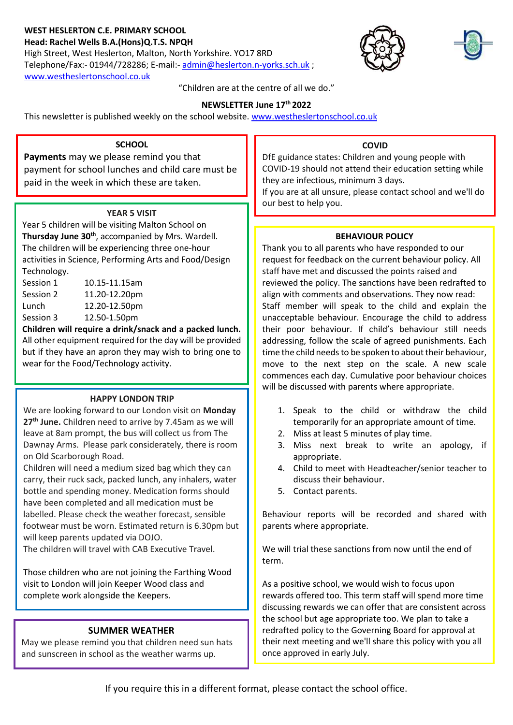## **WEST HESLERTON C.E. PRIMARY SCHOOL Head: Rachel Wells B.A.(Hons)Q.T.S. NPQH**

High Street, West Heslerton, Malton, North Yorkshire. YO17 8RD Telephone/Fax:- 01944/728286; E-mail:- [admin@heslerton.n-yorks.sch.uk](mailto:admin@heslerton.n-yorks.sch.uk) ; [www.westheslertonschool.co.uk](http://www.westheslertonschool.co.uk/)





"Children are at the centre of all we do."

## **NEWSLETTER June 17th 2022**

This newsletter is published weekly on the school website. [www.westheslertonschool.co.uk](http://www.westheslertonschool.co.uk/)

## **SCHOOL**

**Payments** may we please remind you that payment for school lunches and child care must be paid in the week in which these are taken.

## **YEAR 5 VISIT**

Year 5 children will be visiting Malton School on **Thursday June 30th**, accompanied by Mrs. Wardell. The children will be experiencing three one-hour activities in Science, Performing Arts and Food/Design Technology.

| Session 1 | 10.15-11.15am |
|-----------|---------------|
| Session 2 | 11.20-12.20pm |
| Lunch     | 12.20-12.50pm |
| Session 3 | 12.50-1.50pm  |

**Children will require a drink/snack and a packed lunch.**  All other equipment required for the day will be provided but if they have an apron they may wish to bring one to wear for the Food/Technology activity.

## **HAPPY LONDON TRIP**

We are looking forward to our London visit on **Monday 27th June.** Children need to arrive by 7.45am as we will leave at 8am prompt, the bus will collect us from The Dawnay Arms. Please park considerately, there is room on Old Scarborough Road.

Children will need a medium sized bag which they can carry, their ruck sack, packed lunch, any inhalers, water bottle and spending money. Medication forms should have been completed and all medication must be labelled. Please check the weather forecast, sensible footwear must be worn. Estimated return is 6.30pm but will keep parents updated via DOJO.

The children will travel with CAB Executive Travel.

Those children who are not joining the Farthing Wood visit to London will join Keeper Wood class and complete work alongside the Keepers.

## **SUMMER WEATHER**

May we please remind you that children need sun hats and sunscreen in school as the weather warms up.

## **COVID**

DfE guidance states: Children and young people with COVID-19 should not attend their education setting while they are infectious, minimum 3 days.

If you are at all unsure, please contact school and we'll do our best to help you.

## **BEHAVIOUR POLICY**

Thank you to all parents who have responded to our request for feedback on the current behaviour policy. All staff have met and discussed the points raised and reviewed the policy. The sanctions have been redrafted to align with comments and observations. They now read: Staff member will speak to the child and explain the unacceptable behaviour. Encourage the child to address their poor behaviour. If child's behaviour still needs addressing, follow the scale of agreed punishments. Each time the child needs to be spoken to about their behaviour, move to the next step on the scale. A new scale commences each day. Cumulative poor behaviour choices will be discussed with parents where appropriate.

- 1. Speak to the child or withdraw the child temporarily for an appropriate amount of time.
- 2. Miss at least 5 minutes of play time.
- 3. Miss next break to write an apology, if appropriate.
- 4. Child to meet with Headteacher/senior teacher to discuss their behaviour.
- 5. Contact parents.

Behaviour reports will be recorded and shared with parents where appropriate.

We will trial these sanctions from now until the end of term.

As a positive school, we would wish to focus upon rewards offered too. This term staff will spend more time discussing rewards we can offer that are consistent across the school but age appropriate too. We plan to take a redrafted policy to the Governing Board for approval at their next meeting and we'll share this policy with you all once approved in early July.

If you require this in a different format, please contact the school office.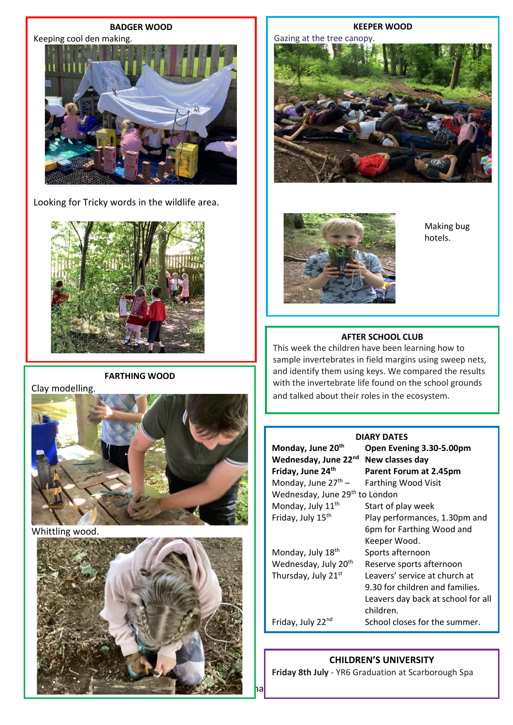**BADGER WOOD**



Looking for Tricky words in the wildlife area.



**FARTHING WOOD**

Clay modelling.



Whittling wood.





Gazing at the tree canopy.





Making bug hotels.

#### **AFTER SCHOOL CLUB**

This week the children have been learning how to sample invertebrates in field margins using sweep nets, and identify them using keys. We compared the results with the invertebrate life found on the school grounds and talked about their roles in the ecosystem.

## **DIARY DATES**

| Monday, June 20th<br>Wednesday, June 22nd  | Open Evening 3.30-5.00pm<br>New classes day     |
|--------------------------------------------|-------------------------------------------------|
| Friday, June 24th                          | Parent Forum at 2.45pm                          |
| Monday, June $27^{th}$ –                   | <b>Farthing Wood Visit</b>                      |
| Wednesday, June 29 <sup>th</sup> to London |                                                 |
| Monday, July 11 <sup>th</sup>              | Start of play week                              |
| Friday, July 15 <sup>th</sup>              | Play performances, 1.30pm and                   |
|                                            | 6pm for Farthing Wood and                       |
|                                            | Keeper Wood.                                    |
| Monday, July 18 <sup>th</sup>              | Sports afternoon                                |
| Wednesday, July 20 <sup>th</sup>           | Reserve sports afternoon                        |
| Thursday, July 21st                        | Leavers' service at church at                   |
|                                            | 9.30 for children and families.                 |
|                                            | Leavers day back at school for all<br>children. |
| Friday, July 22nd                          | School closes for the summer.                   |

# **CHILDREN'S UNIVERSITY**

**Friday 8th July** - YR6 Graduation at Scarborough Spa  $\ddotsc$ 

These are some of the dates we know. There may